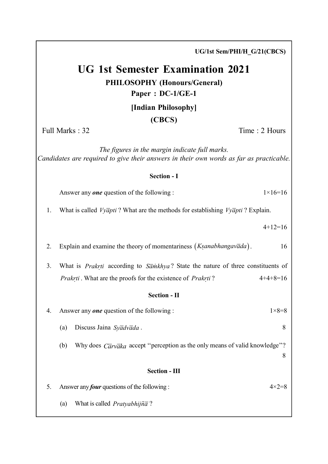UG 1st Semester Examination 2021 PHILOSOPHY (Honours/General) Paper : DC-1/GE-1 [Indian Philosophy] (CBCS) Full Marks : 32 Time : 2 Hours The figures in the margin indicate full marks. Candidates are required to give their answers in their own words as far as practicable. Section - I Answer any one question of the following :  $1 \times 16 = 16$ 1. What is called  $Vv\bar{q}pti$ ? What are the methods for establishing  $Vv\bar{q}pti$ ? Explain.  $4+12=16$ 2. Explain and examine the theory of momentariness  $(Ksanabhangav\overline{a}da)$ . İ, . 16 3. What is *Prakrti* according to  $S\overline{a}mkhya$ ? State the nature of three constituents of Î, Ì, Prakrti. What are the proofs for the existence of *Prakrti?* Ĵ.  $4+4+8=16$ Section - II 4. Answer any *one* question of the following :  $1 \times 8 = 8$ (a) Discuss Jaina  $Sy\overline{a}dv\overline{a}da$ . (b) Why does  $\overline{Carv\overline{a}}ka$  accept "perception as the only means of valid knowledge"? 8 Section - III 5. Answer any *four* questions of the following :  $4 \times 2 = 8$ (a) What is called  $Pratyabhi\tilde{n}\bar{a}$ ?

UG/1st Sem/PHI/H\_G/21(CBCS)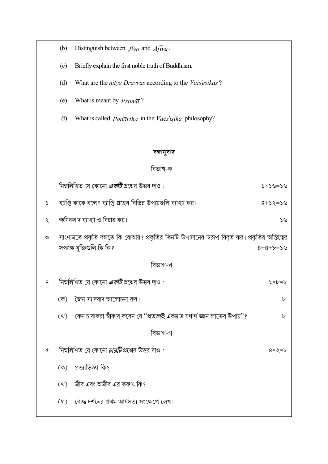|              | (b)                                                                                            | Distinguish between $J\bar{i}va$ and $A\bar{j}\bar{i}va$ .                     |                        |
|--------------|------------------------------------------------------------------------------------------------|--------------------------------------------------------------------------------|------------------------|
|              | (c)                                                                                            | Briefly explain the first noble truth of Buddhism.                             |                        |
|              | (d)                                                                                            | What are the nitya Dravyas according to the Vais'esikas?                       |                        |
|              | (e)                                                                                            | What is meant by $Pram\bar{a}$ ?                                               |                        |
|              | (f)                                                                                            | What is called $Pad\overline{a}r$ tha in the Vaes'isika philosophy?            |                        |
|              |                                                                                                |                                                                                |                        |
| বঙ্গানুবাদ   |                                                                                                |                                                                                |                        |
| বিভাগ-ক      |                                                                                                |                                                                                |                        |
|              |                                                                                                | নিম্নলিখিত যে কোনো <i>এ<b>কটি</b></i> প্রশ্নের উত্তর দাও :                     | ৬<=৬<×<                |
| $\mathsf{L}$ |                                                                                                | ব্যাপ্তি কাকে বলে? ব্যাপ্তি গ্রহের বিভিন্ন উপায়গুলি ব্যাখ্যা কর।              | $8+5$ ২=১৬             |
| ২।           | ক্ষণিকবাদ ব্যাখ্যা ও বিচার কর।<br>১৬                                                           |                                                                                |                        |
| $\circ$      | সাংখ্যমতে প্রকৃতি বলতে কি বোঝায়? প্রকৃতির তিনটি উপাদানের স্বরূপ বিবৃত কর। প্রকৃতির অস্তিত্বের |                                                                                |                        |
|              |                                                                                                | সপক্ষে যুক্তিগুলি কি কি?                                                       | $8+8+6=56$             |
| বিভাগ-খ      |                                                                                                |                                                                                |                        |
| 8            |                                                                                                | নিম্নলিখিত যে কোনো <i>এ<b>কটি</b></i> প্রশ্নের উত্তর দাও :                     | $\lambda \times b = b$ |
|              | $(\vec{\Phi})$                                                                                 | জৈন স্যাদবাদ আলোচনা কর।                                                        | ৮                      |
|              | (খ)                                                                                            | কেন চার্বাকরা স্বীকার করেন যে ''প্রত্যক্ষই একমাত্র যথার্থ জ্ঞান লাভের উপায়''? | ৮                      |
|              |                                                                                                | বিভাগ-গ                                                                        |                        |
| $\alpha$     |                                                                                                | নিম্নলিখিত যে কোনো <i>চারটি</i> প্রশ্নের উত্তর দাও :                           | $8\times$ ২ $=$ ৮      |
|              | $(\overline{\Phi})$                                                                            | প্ৰত্যাভিজ্ঞা কি?                                                              |                        |
|              | (খ)                                                                                            | জীব এবং অজীব এর তফাৎ কি?                                                       |                        |
|              | (3)                                                                                            | বৌদ্ধ দর্শনের প্রথম আর্যসত্য সংক্ষেপে লেখ।                                     |                        |
|              |                                                                                                |                                                                                |                        |